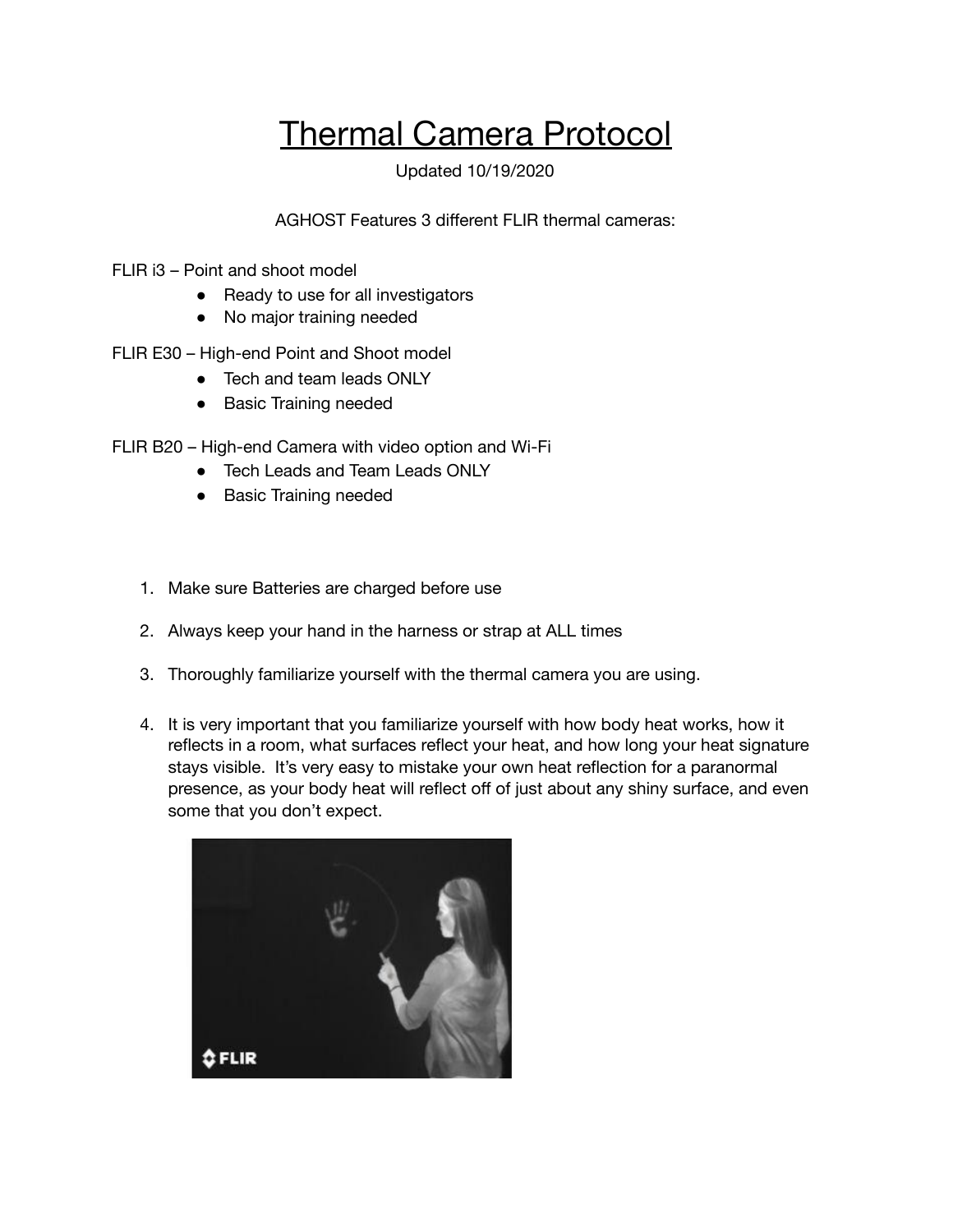## Thermal Camera Protocol

Updated 10/19/2020

AGHOST Features 3 different FLIR thermal cameras:

- FLIR i3 Point and shoot model
	- Ready to use for all investigators
	- No major training needed
- FLIR E30 High-end Point and Shoot model
	- Tech and team leads ONLY
	- Basic Training needed
- FLIR B20 High-end Camera with video option and Wi-Fi
	- Tech Leads and Team Leads ONLY
	- Basic Training needed
	- 1. Make sure Batteries are charged before use
	- 2. Always keep your hand in the harness or strap at ALL times
	- 3. Thoroughly familiarize yourself with the thermal camera you are using.
	- 4. It is very important that you familiarize yourself with how body heat works, how it reflects in a room, what surfaces reflect your heat, and how long your heat signature stays visible. It's very easy to mistake your own heat reflection for a paranormal presence, as your body heat will reflect off of just about any shiny surface, and even some that you don't expect.